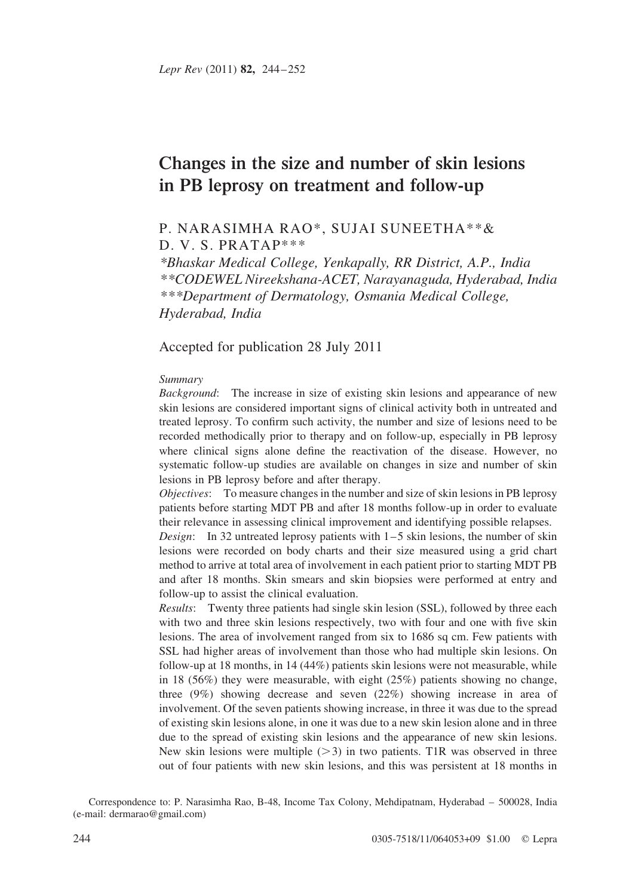# Changes in the size and number of skin lesions in PB leprosy on treatment and follow-up

## P. NARASIMHA RAO\*, SUJAI SUNEETHA\*\*& D. V. S. PRATAP\*\*\*

\*Bhaskar Medical College, Yenkapally, RR District, A.P., India \*\*CODEWEL Nireekshana-ACET, Narayanaguda, Hyderabad, India \*\*\*Department of Dermatology, Osmania Medical College, Hyderabad, India

Accepted for publication 28 July 2011

#### Summary

Background: The increase in size of existing skin lesions and appearance of new skin lesions are considered important signs of clinical activity both in untreated and treated leprosy. To confirm such activity, the number and size of lesions need to be recorded methodically prior to therapy and on follow-up, especially in PB leprosy where clinical signs alone define the reactivation of the disease. However, no systematic follow-up studies are available on changes in size and number of skin lesions in PB leprosy before and after therapy.

Objectives: To measure changes in the number and size of skin lesions in PB leprosy patients before starting MDT PB and after 18 months follow-up in order to evaluate their relevance in assessing clinical improvement and identifying possible relapses.

Design: In 32 untreated leprosy patients with  $1-5$  skin lesions, the number of skin lesions were recorded on body charts and their size measured using a grid chart method to arrive at total area of involvement in each patient prior to starting MDT PB and after 18 months. Skin smears and skin biopsies were performed at entry and follow-up to assist the clinical evaluation.

Results: Twenty three patients had single skin lesion (SSL), followed by three each with two and three skin lesions respectively, two with four and one with five skin lesions. The area of involvement ranged from six to 1686 sq cm. Few patients with SSL had higher areas of involvement than those who had multiple skin lesions. On follow-up at 18 months, in 14 (44%) patients skin lesions were not measurable, while in 18 (56%) they were measurable, with eight  $(25%)$  patients showing no change, three (9%) showing decrease and seven (22%) showing increase in area of involvement. Of the seven patients showing increase, in three it was due to the spread of existing skin lesions alone, in one it was due to a new skin lesion alone and in three due to the spread of existing skin lesions and the appearance of new skin lesions. New skin lesions were multiple  $(>3)$  in two patients. T1R was observed in three out of four patients with new skin lesions, and this was persistent at 18 months in

Correspondence to: P. Narasimha Rao, B-48, Income Tax Colony, Mehdipatnam, Hyderabad – 500028, India (e-mail: dermarao@gmail.com)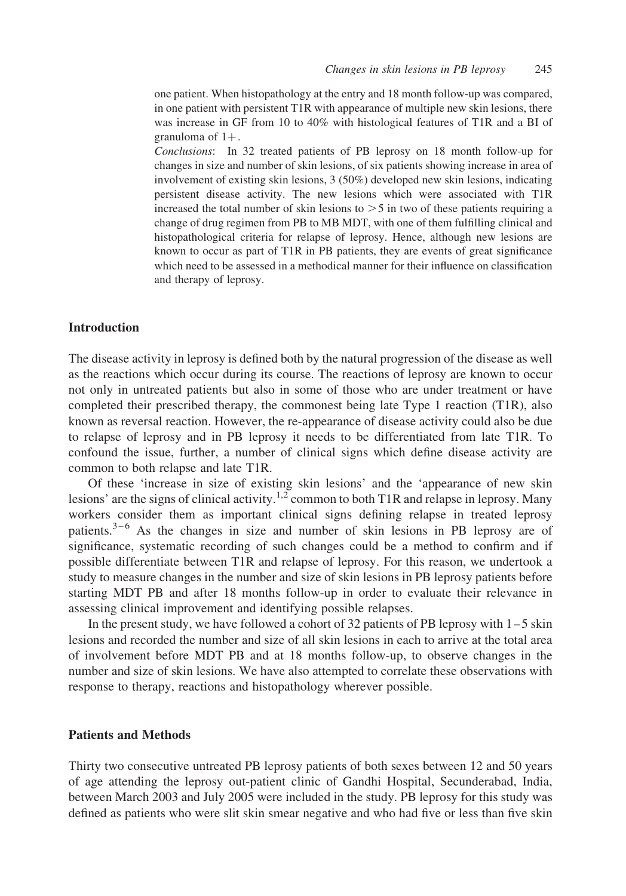one patient. When histopathology at the entry and 18 month follow-up was compared, in one patient with persistent T1R with appearance of multiple new skin lesions, there was increase in GF from 10 to 40% with histological features of T1R and a BI of granuloma of  $1+$ .

Conclusions: In 32 treated patients of PB leprosy on 18 month follow-up for changes in size and number of skin lesions, of six patients showing increase in area of involvement of existing skin lesions, 3 (50%) developed new skin lesions, indicating persistent disease activity. The new lesions which were associated with T1R increased the total number of skin lesions to  $>$  5 in two of these patients requiring a change of drug regimen from PB to MB MDT, with one of them fulfilling clinical and histopathological criteria for relapse of leprosy. Hence, although new lesions are known to occur as part of T1R in PB patients, they are events of great significance which need to be assessed in a methodical manner for their influence on classification and therapy of leprosy.

### Introduction

The disease activity in leprosy is defined both by the natural progression of the disease as well as the reactions which occur during its course. The reactions of leprosy are known to occur not only in untreated patients but also in some of those who are under treatment or have completed their prescribed therapy, the commonest being late Type 1 reaction (T1R), also known as reversal reaction. However, the re-appearance of disease activity could also be due to relapse of leprosy and in PB leprosy it needs to be differentiated from late T1R. To confound the issue, further, a number of clinical signs which define disease activity are common to both relapse and late T1R.

Of these 'increase in size of existing skin lesions' and the 'appearance of new skin lesions' are the signs of clinical activity.<sup>[1,2](#page-7-0)</sup> common to both T1R and relapse in leprosy. Many workers consider them as important clinical signs defining relapse in treated leprosy patients. $3-6$  As the changes in size and number of skin lesions in PB leprosy are of significance, systematic recording of such changes could be a method to confirm and if possible differentiate between T1R and relapse of leprosy. For this reason, we undertook a study to measure changes in the number and size of skin lesions in PB leprosy patients before starting MDT PB and after 18 months follow-up in order to evaluate their relevance in assessing clinical improvement and identifying possible relapses.

In the present study, we have followed a cohort of 32 patients of PB leprosy with  $1-5$  skin lesions and recorded the number and size of all skin lesions in each to arrive at the total area of involvement before MDT PB and at 18 months follow-up, to observe changes in the number and size of skin lesions. We have also attempted to correlate these observations with response to therapy, reactions and histopathology wherever possible.

## Patients and Methods

Thirty two consecutive untreated PB leprosy patients of both sexes between 12 and 50 years of age attending the leprosy out-patient clinic of Gandhi Hospital, Secunderabad, India, between March 2003 and July 2005 were included in the study. PB leprosy for this study was defined as patients who were slit skin smear negative and who had five or less than five skin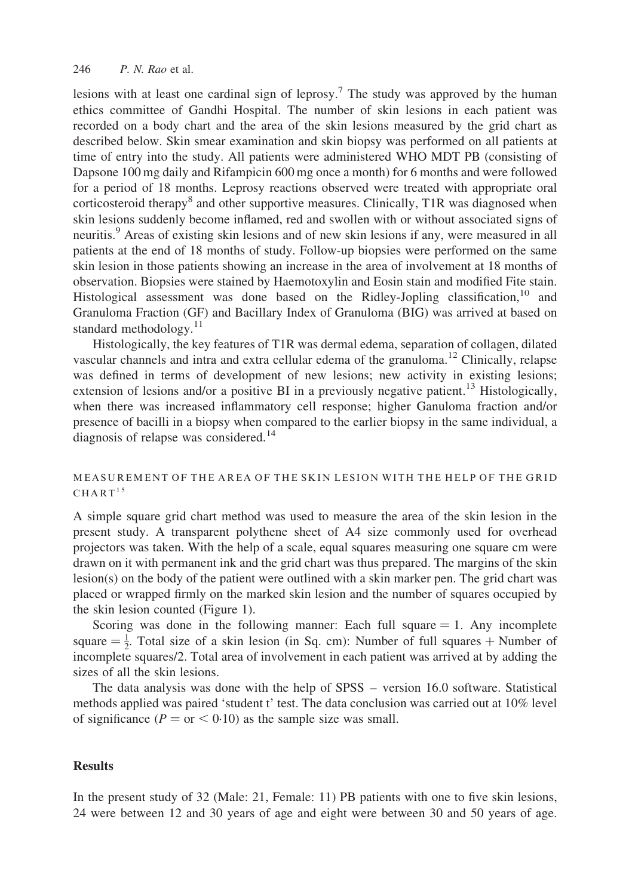lesions with at least one cardinal sign of leprosy.<sup>[7](#page-8-0)</sup> The study was approved by the human ethics committee of Gandhi Hospital. The number of skin lesions in each patient was recorded on a body chart and the area of the skin lesions measured by the grid chart as described below. Skin smear examination and skin biopsy was performed on all patients at time of entry into the study. All patients were administered WHO MDT PB (consisting of Dapsone 100 mg daily and Rifampicin 600 mg once a month) for 6 months and were followed for a period of 18 months. Leprosy reactions observed were treated with appropriate oral corticosteroid therapy<sup>[8](#page-8-0)</sup> and other supportive measures. Clinically, T1R was diagnosed when skin lesions suddenly become inflamed, red and swollen with or without associated signs of neuritis.<sup>[9](#page-8-0)</sup> Areas of existing skin lesions and of new skin lesions if any, were measured in all patients at the end of 18 months of study. Follow-up biopsies were performed on the same skin lesion in those patients showing an increase in the area of involvement at 18 months of observation. Biopsies were stained by Haemotoxylin and Eosin stain and modified Fite stain. Histological assessment was done based on the Ridley-Jopling classification,  $^{10}$  $^{10}$  $^{10}$  and Granuloma Fraction (GF) and Bacillary Index of Granuloma (BIG) was arrived at based on standard methodology. $11$ 

Histologically, the key features of T1R was dermal edema, separation of collagen, dilated vascular channels and intra and extra cellular edema of the granuloma.<sup>[12](#page-8-0)</sup> Clinically, relapse was defined in terms of development of new lesions; new activity in existing lesions; extension of lesions and/or a positive BI in a previously negative patient.<sup>[13](#page-8-0)</sup> Histologically, when there was increased inflammatory cell response; higher Ganuloma fraction and/or presence of bacilli in a biopsy when compared to the earlier biopsy in the same individual, a diagnosis of relapse was considered.<sup>[14](#page-8-0)</sup>

## MEASUREMENT OF THE AREA OF THE SKIN LESION WITH THE HELP OF THE GRID  $CHART$ <sup>15</sup>

A simple square grid chart method was used to measure the area of the skin lesion in the present study. A transparent polythene sheet of A4 size commonly used for overhead projectors was taken. With the help of a scale, equal squares measuring one square cm were drawn on it with permanent ink and the grid chart was thus prepared. The margins of the skin lesion(s) on the body of the patient were outlined with a skin marker pen. The grid chart was placed or wrapped firmly on the marked skin lesion and the number of squares occupied by the skin lesion counted ([Figure 1\)](#page-3-0).

Scoring was done in the following manner: Each full square  $= 1$ . Any incomplete square  $=\frac{1}{2}$ . Total size of a skin lesion (in Sq. cm): Number of full squares + Number of incomplete squares/2. Total area of involvement in each patient was arrived at by adding the sizes of all the skin lesions.

The data analysis was done with the help of SPSS – version 16.0 software. Statistical methods applied was paired 'student t' test. The data conclusion was carried out at 10% level of significance ( $P =$  or  $< 0.10$ ) as the sample size was small.

## **Results**

In the present study of 32 (Male: 21, Female: 11) PB patients with one to five skin lesions, 24 were between 12 and 30 years of age and eight were between 30 and 50 years of age.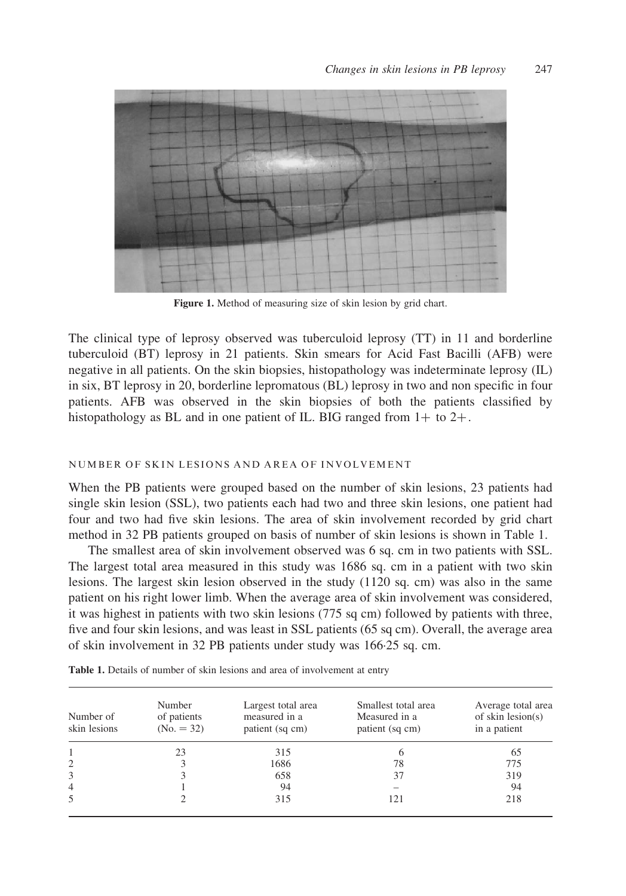<span id="page-3-0"></span>

Figure 1. Method of measuring size of skin lesion by grid chart.

The clinical type of leprosy observed was tuberculoid leprosy (TT) in 11 and borderline tuberculoid (BT) leprosy in 21 patients. Skin smears for Acid Fast Bacilli (AFB) were negative in all patients. On the skin biopsies, histopathology was indeterminate leprosy (IL) in six, BT leprosy in 20, borderline lepromatous (BL) leprosy in two and non specific in four patients. AFB was observed in the skin biopsies of both the patients classified by histopathology as BL and in one patient of IL. BIG ranged from  $1+$  to  $2+$ .

### NUMBER OF SKIN LESIONS AND AREA OF INVOLVEMENT

When the PB patients were grouped based on the number of skin lesions, 23 patients had single skin lesion (SSL), two patients each had two and three skin lesions, one patient had four and two had five skin lesions. The area of skin involvement recorded by grid chart method in 32 PB patients grouped on basis of number of skin lesions is shown in Table 1.

The smallest area of skin involvement observed was 6 sq. cm in two patients with SSL. The largest total area measured in this study was 1686 sq. cm in a patient with two skin lesions. The largest skin lesion observed in the study (1120 sq. cm) was also in the same patient on his right lower limb. When the average area of skin involvement was considered, it was highest in patients with two skin lesions (775 sq cm) followed by patients with three, five and four skin lesions, and was least in SSL patients (65 sq cm). Overall, the average area of skin involvement in 32 PB patients under study was 166·25 sq. cm.

| Number of<br>skin lesions | Number<br>of patients<br>$(No. = 32)$ | Largest total area<br>measured in a<br>patient (sq cm) | Smallest total area<br>Measured in a<br>patient (sq cm) | Average total area<br>of skin $lesion(s)$<br>in a patient |  |  |
|---------------------------|---------------------------------------|--------------------------------------------------------|---------------------------------------------------------|-----------------------------------------------------------|--|--|
|                           | 23                                    | 315                                                    |                                                         | 65                                                        |  |  |
| 2                         |                                       | 1686                                                   | 78                                                      | 775                                                       |  |  |
| 3                         |                                       | 658                                                    | 37                                                      | 319                                                       |  |  |
| $\overline{4}$            |                                       | 94                                                     |                                                         | 94                                                        |  |  |
| 5                         |                                       | 315                                                    | 121                                                     | 218                                                       |  |  |

Table 1. Details of number of skin lesions and area of involvement at entry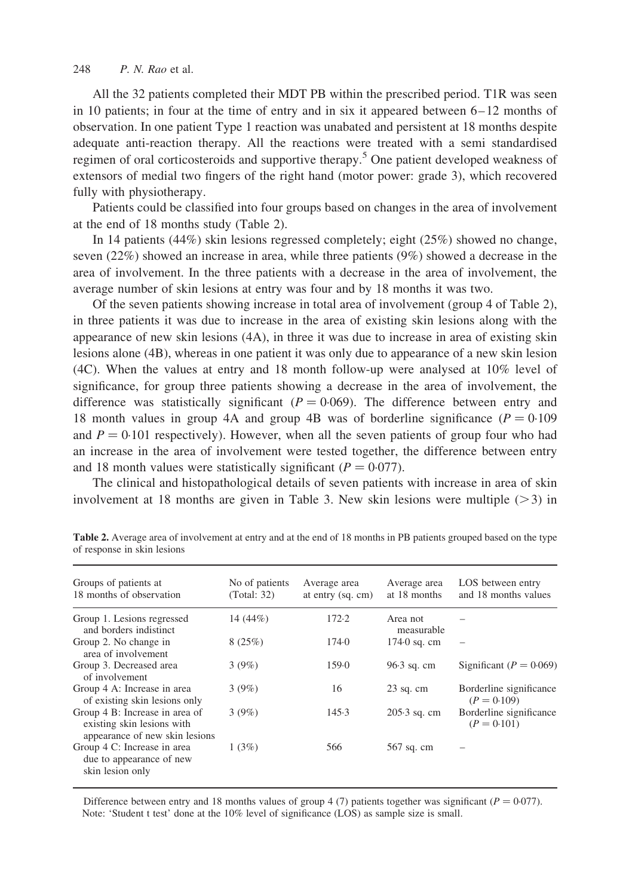#### <span id="page-4-0"></span>248 P. N. Rao et al.

All the 32 patients completed their MDT PB within the prescribed period. T1R was seen in 10 patients; in four at the time of entry and in six it appeared between 6– 12 months of observation. In one patient Type 1 reaction was unabated and persistent at 18 months despite adequate anti-reaction therapy. All the reactions were treated with a semi standardised regimen of oral corticosteroids and supportive therapy.<sup>[5](#page-8-0)</sup> One patient developed weakness of extensors of medial two fingers of the right hand (motor power: grade 3), which recovered fully with physiotherapy.

Patients could be classified into four groups based on changes in the area of involvement at the end of 18 months study (Table 2).

In 14 patients (44%) skin lesions regressed completely; eight (25%) showed no change, seven (22%) showed an increase in area, while three patients (9%) showed a decrease in the area of involvement. In the three patients with a decrease in the area of involvement, the average number of skin lesions at entry was four and by 18 months it was two.

Of the seven patients showing increase in total area of involvement (group 4 of Table 2), in three patients it was due to increase in the area of existing skin lesions along with the appearance of new skin lesions (4A), in three it was due to increase in area of existing skin lesions alone (4B), whereas in one patient it was only due to appearance of a new skin lesion (4C). When the values at entry and 18 month follow-up were analysed at 10% level of significance, for group three patients showing a decrease in the area of involvement, the difference was statistically significant ( $P = 0.069$ ). The difference between entry and 18 month values in group 4A and group 4B was of borderline significance  $(P = 0.109$ and  $P = 0.101$  respectively). However, when all the seven patients of group four who had an increase in the area of involvement were tested together, the difference between entry and 18 month values were statistically significant ( $P = 0.077$ ).

The clinical and histopathological details of seven patients with increase in area of skin involvement at 18 months are given in [Table 3.](#page-5-0) New skin lesions were multiple  $(>3)$  in

| No of patients<br>(Total: 32) | Average area<br>at entry $(sq. cm)$ | Average area<br>at 18 months | LOS between entry<br>and 18 months values |
|-------------------------------|-------------------------------------|------------------------------|-------------------------------------------|
| 14 (44%)                      | 172.2                               | Area not<br>measurable       |                                           |
| 8(25%)                        | 174.0                               | $174.0$ sq. cm               |                                           |
| 3(9%)                         | 159.0                               | $96.3$ sq. cm                | Significant ( $P = 0.069$ )               |
| 3(9%)                         | 16                                  | $23$ sq. cm                  | Borderline significance<br>$(P = 0.109)$  |
| 3(9%)                         | 145.3                               | $205.3$ sq. cm               | Borderline significance<br>$(P = 0.101)$  |
| 1(3%)                         | 566                                 | 567 sq. cm                   |                                           |
|                               |                                     |                              |                                           |

Table 2. Average area of involvement at entry and at the end of 18 months in PB patients grouped based on the type of response in skin lesions

Difference between entry and 18 months values of group 4 (7) patients together was significant ( $P = 0.077$ ). Note: 'Student t test' done at the 10% level of significance (LOS) as sample size is small.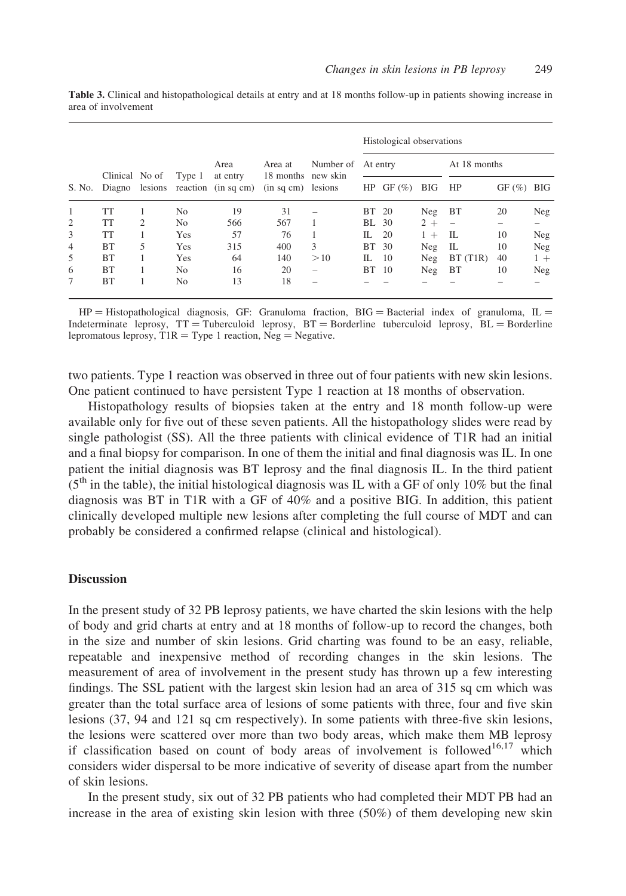| S. No. | Clinical No of |   | Type 1 | Area<br>at entry<br>Diagno lesions reaction (in sq cm) | Area at<br>18 months new skin<br>(in sq cm) lesions | Number of | Histological observations |       |       |                          |       |            |
|--------|----------------|---|--------|--------------------------------------------------------|-----------------------------------------------------|-----------|---------------------------|-------|-------|--------------------------|-------|------------|
|        |                |   |        |                                                        |                                                     |           | At entry                  |       |       | At 18 months             |       |            |
|        |                |   |        |                                                        |                                                     |           | HP                        | GF(%) | BIG   | HP                       | GF(%) | <b>BIG</b> |
| 1      | TT             |   | No     | 19                                                     | 31                                                  |           | BT 20                     |       | Neg   | BT                       | 20    | Neg        |
| 2      | TT             | 2 | No.    | 566                                                    | 567                                                 |           | BL                        | -30   | $2 +$ | $\overline{\phantom{0}}$ |       |            |
| 3      | TT             |   | Yes    | 57                                                     | 76                                                  |           | Н.                        | 20    | $1 +$ | IL                       | 10    | Neg        |
| 4      | BT             | 5 | Yes    | 315                                                    | 400                                                 | 3         | BT 30                     |       | Neg   | IL                       | 10    | Neg        |
| 5      | BT             |   | Yes    | 64                                                     | 140                                                 | >10       | IL                        | 10    | Neg   | BT(T1R)                  | 40    | $1 +$      |
| 6      | <b>BT</b>      |   | No.    | 16                                                     | 20                                                  | -         | BТ                        | 10    | Neg   | <b>BT</b>                | 10    | Neg        |
| 7      | BT             |   | No     | 13                                                     | 18                                                  |           |                           |       |       |                          |       |            |

<span id="page-5-0"></span>Table 3. Clinical and histopathological details at entry and at 18 months follow-up in patients showing increase in area of involvement

 $HP = Histopathological diagnosis, GF: Gramuloma fraction, BIG = Bacterial index of granuloma, IL =$ Indeterminate leprosy,  $TT = Tuberculoid$  leprosy,  $BT = Bordeaux$  Euberculoid leprosy,  $BL = Bordeaux$ lepromatous leprosy,  $T1R = Type 1$  reaction,  $Neg = Negative$ .

two patients. Type 1 reaction was observed in three out of four patients with new skin lesions. One patient continued to have persistent Type 1 reaction at 18 months of observation.

Histopathology results of biopsies taken at the entry and 18 month follow-up were available only for five out of these seven patients. All the histopathology slides were read by single pathologist (SS). All the three patients with clinical evidence of T1R had an initial and a final biopsy for comparison. In one of them the initial and final diagnosis was IL. In one patient the initial diagnosis was BT leprosy and the final diagnosis IL. In the third patient  $(5<sup>th</sup>$  in the table), the initial histological diagnosis was IL with a GF of only 10% but the final diagnosis was BT in T1R with a GF of 40% and a positive BIG. In addition, this patient clinically developed multiple new lesions after completing the full course of MDT and can probably be considered a confirmed relapse (clinical and histological).

#### **Discussion**

In the present study of 32 PB leprosy patients, we have charted the skin lesions with the help of body and grid charts at entry and at 18 months of follow-up to record the changes, both in the size and number of skin lesions. Grid charting was found to be an easy, reliable, repeatable and inexpensive method of recording changes in the skin lesions. The measurement of area of involvement in the present study has thrown up a few interesting findings. The SSL patient with the largest skin lesion had an area of 315 sq cm which was greater than the total surface area of lesions of some patients with three, four and five skin lesions (37, 94 and 121 sq cm respectively). In some patients with three-five skin lesions, the lesions were scattered over more than two body areas, which make them MB leprosy if classification based on count of body areas of involvement is followed<sup>[16,17](#page-8-0)</sup> which considers wider dispersal to be more indicative of severity of disease apart from the number of skin lesions.

In the present study, six out of 32 PB patients who had completed their MDT PB had an increase in the area of existing skin lesion with three (50%) of them developing new skin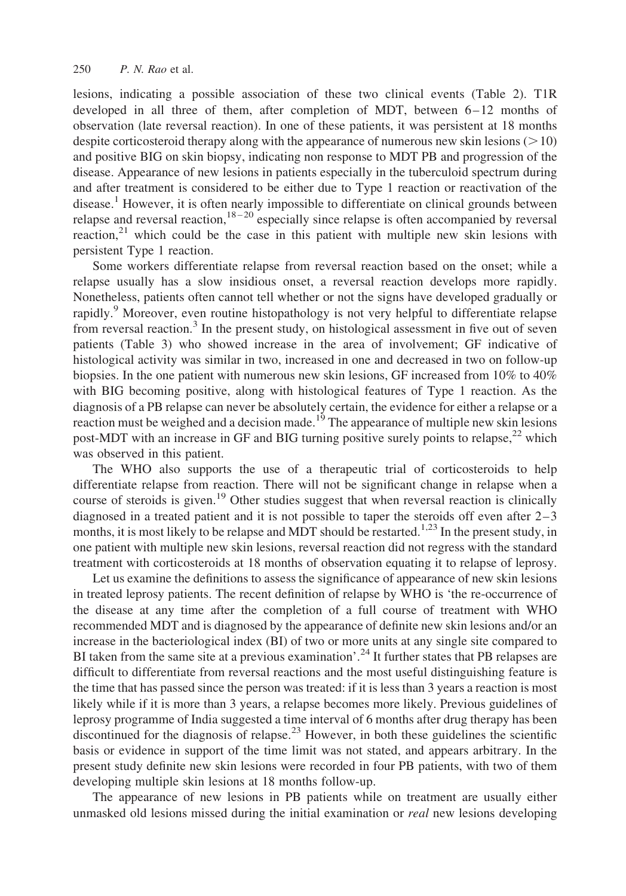lesions, indicating a possible association of these two clinical events [\(Table 2\)](#page-4-0). T1R developed in all three of them, after completion of MDT, between  $6-12$  months of observation (late reversal reaction). In one of these patients, it was persistent at 18 months despite corticosteroid therapy along with the appearance of numerous new skin lesions ( $>10$ ) and positive BIG on skin biopsy, indicating non response to MDT PB and progression of the disease. Appearance of new lesions in patients especially in the tuberculoid spectrum during and after treatment is considered to be either due to Type 1 reaction or reactivation of the disease.<sup>[1](#page-7-0)</sup> However, it is often nearly impossible to differentiate on clinical grounds between relapse and reversal reaction,  $18-20$  especially since relapse is often accompanied by reversal reaction, $21$  which could be the case in this patient with multiple new skin lesions with persistent Type 1 reaction.

Some workers differentiate relapse from reversal reaction based on the onset; while a relapse usually has a slow insidious onset, a reversal reaction develops more rapidly. Nonetheless, patients often cannot tell whether or not the signs have developed gradually or rapidly.<sup>[9](#page-8-0)</sup> Moreover, even routine histopathology is not very helpful to differentiate relapse from reversal reaction.<sup>[3](#page-7-0)</sup> In the present study, on histological assessment in five out of seven patients ([Table 3\)](#page-5-0) who showed increase in the area of involvement; GF indicative of histological activity was similar in two, increased in one and decreased in two on follow-up biopsies. In the one patient with numerous new skin lesions, GF increased from 10% to 40% with BIG becoming positive, along with histological features of Type 1 reaction. As the diagnosis of a PB relapse can never be absolutely certain, the evidence for either a relapse or a reaction must be weighed and a decision made.<sup>[19](#page-8-0)</sup> The appearance of multiple new skin lesions post-MDT with an increase in GF and BIG turning positive surely points to relapse,<sup>[22](#page-8-0)</sup> which was observed in this patient.

The WHO also supports the use of a therapeutic trial of corticosteroids to help differentiate relapse from reaction. There will not be significant change in relapse when a course of steroids is given.<sup>[19](#page-8-0)</sup> Other studies suggest that when reversal reaction is clinically diagnosed in a treated patient and it is not possible to taper the steroids off even after  $2-3$ months, it is most likely to be relapse and MDT should be restarted.<sup>[1,23](#page-7-0)</sup> In the present study, in one patient with multiple new skin lesions, reversal reaction did not regress with the standard treatment with corticosteroids at 18 months of observation equating it to relapse of leprosy.

Let us examine the definitions to assess the significance of appearance of new skin lesions in treated leprosy patients. The recent definition of relapse by WHO is 'the re-occurrence of the disease at any time after the completion of a full course of treatment with WHO recommended MDT and is diagnosed by the appearance of definite new skin lesions and/or an increase in the bacteriological index (BI) of two or more units at any single site compared to BI taken from the same site at a previous examination'.<sup>[24](#page-8-0)</sup> It further states that PB relapses are difficult to differentiate from reversal reactions and the most useful distinguishing feature is the time that has passed since the person was treated: if it is less than 3 years a reaction is most likely while if it is more than 3 years, a relapse becomes more likely. Previous guidelines of leprosy programme of India suggested a time interval of 6 months after drug therapy has been discontinued for the diagnosis of relapse.<sup>[23](#page-8-0)</sup> However, in both these guidelines the scientific basis or evidence in support of the time limit was not stated, and appears arbitrary. In the present study definite new skin lesions were recorded in four PB patients, with two of them developing multiple skin lesions at 18 months follow-up.

The appearance of new lesions in PB patients while on treatment are usually either unmasked old lesions missed during the initial examination or *real* new lesions developing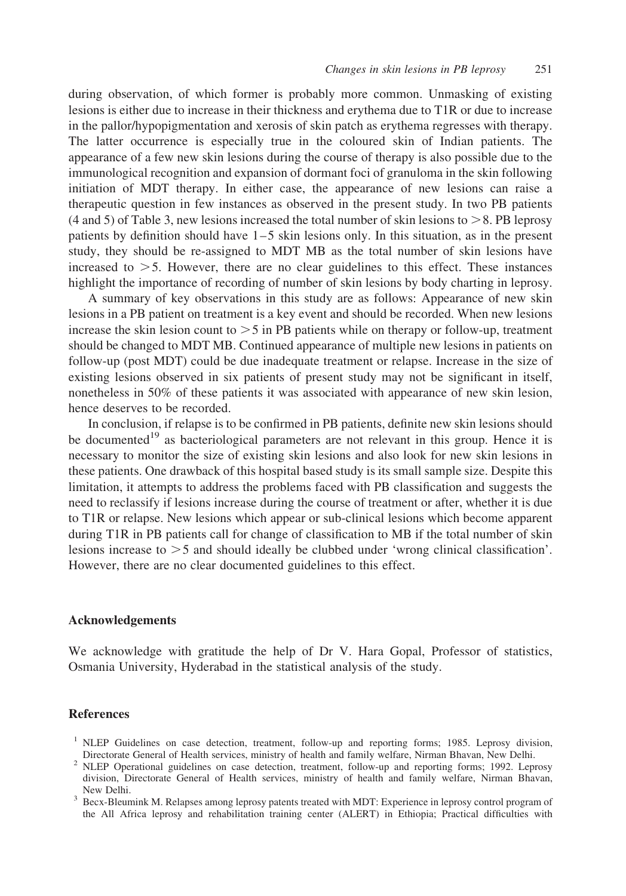<span id="page-7-0"></span>during observation, of which former is probably more common. Unmasking of existing lesions is either due to increase in their thickness and erythema due to T1R or due to increase in the pallor/hypopigmentation and xerosis of skin patch as erythema regresses with therapy. The latter occurrence is especially true in the coloured skin of Indian patients. The appearance of a few new skin lesions during the course of therapy is also possible due to the immunological recognition and expansion of dormant foci of granuloma in the skin following initiation of MDT therapy. In either case, the appearance of new lesions can raise a therapeutic question in few instances as observed in the present study. In two PB patients (4 and 5) of [Table 3,](#page-5-0) new lesions increased the total number of skin lesions to  $>8$ . PB leprosy patients by definition should have  $1-5$  skin lesions only. In this situation, as in the present study, they should be re-assigned to MDT MB as the total number of skin lesions have increased to  $>5$ . However, there are no clear guidelines to this effect. These instances highlight the importance of recording of number of skin lesions by body charting in leprosy.

A summary of key observations in this study are as follows: Appearance of new skin lesions in a PB patient on treatment is a key event and should be recorded. When new lesions increase the skin lesion count to  $>$  5 in PB patients while on therapy or follow-up, treatment should be changed to MDT MB. Continued appearance of multiple new lesions in patients on follow-up (post MDT) could be due inadequate treatment or relapse. Increase in the size of existing lesions observed in six patients of present study may not be significant in itself, nonetheless in 50% of these patients it was associated with appearance of new skin lesion, hence deserves to be recorded.

In conclusion, if relapse is to be confirmed in PB patients, definite new skin lesions should be documented<sup>[19](#page-8-0)</sup> as bacteriological parameters are not relevant in this group. Hence it is necessary to monitor the size of existing skin lesions and also look for new skin lesions in these patients. One drawback of this hospital based study is its small sample size. Despite this limitation, it attempts to address the problems faced with PB classification and suggests the need to reclassify if lesions increase during the course of treatment or after, whether it is due to T1R or relapse. New lesions which appear or sub-clinical lesions which become apparent during T1R in PB patients call for change of classification to MB if the total number of skin lesions increase to  $>$  5 and should ideally be clubbed under 'wrong clinical classification'. However, there are no clear documented guidelines to this effect.

### Acknowledgements

We acknowledge with gratitude the help of Dr V. Hara Gopal, Professor of statistics, Osmania University, Hyderabad in the statistical analysis of the study.

#### **References**

- <sup>1</sup> NLEP Guidelines on case detection, treatment, follow-up and reporting forms; 1985. Leprosy division, Directorate General of Health services, ministry of health and family welfare, Nirman Bhavan, New Delhi. <sup>2</sup> NLEP Operational guidelines on case detection, treatment, follow-up and reporting forms; 1992. Leprosy
- division, Directorate General of Health services, ministry of health and family welfare, Nirman Bhavan,
- <sup>3</sup> Becx-Bleumink M. Relapses among leprosy patents treated with MDT: Experience in leprosy control program of the All Africa leprosy and rehabilitation training center (ALERT) in Ethiopia; Practical difficulties with